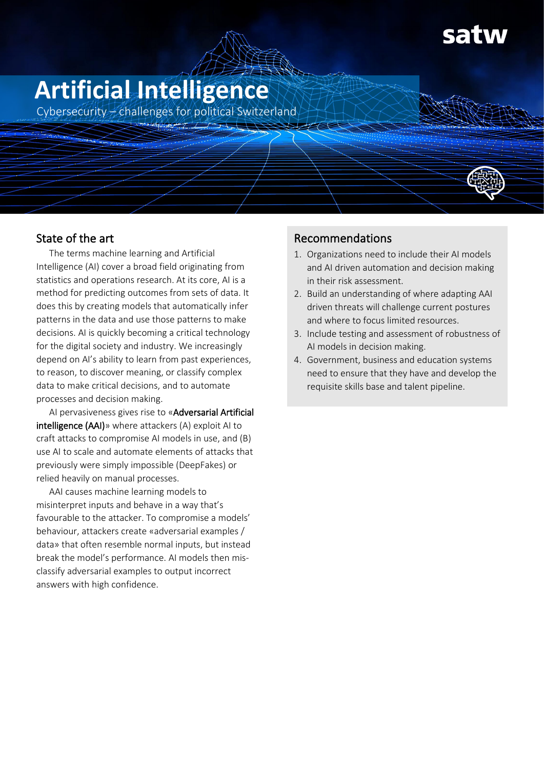# **Artificial Intelligence**

Cybersecurity – challenges for political Switzerland

# State of the art

The terms machine learning and Artificial Intelligence (AI) cover a broad field originating from statistics and operations research. At its core, AI is a method for predicting outcomes from sets of data. It does this by creating models that automatically infer patterns in the data and use those patterns to make decisions. AI is quickly becoming a critical technology for the digital society and industry. We increasingly depend on AI's ability to learn from past experiences, to reason, to discover meaning, or classify complex data to make critical decisions, and to automate processes and decision making.

AI pervasiveness gives rise to «Adversarial Artificial intelligence (AAI)» where attackers (A) exploit AI to craft attacks to compromise AI models in use, and (B) use AI to scale and automate elements of attacks that previously were simply impossible (DeepFakes) or relied heavily on manual processes.

AAI causes machine learning models to misinterpret inputs and behave in a way that's favourable to the attacker. To compromise a models' behaviour, attackers create «adversarial examples / data» that often resemble normal inputs, but instead break the model's performance. AI models then misclassify adversarial examples to output incorrect answers with high confidence.

## Recommendations

- 1. Organizations need to include their AI models and AI driven automation and decision making in their risk assessment.
- 2. Build an understanding of where adapting AAI driven threats will challenge current postures and where to focus limited resources.
- 3. Include testing and assessment of robustness of AI models in decision making.
- 4. Government, business and education systems need to ensure that they have and develop the requisite skills base and talent pipeline.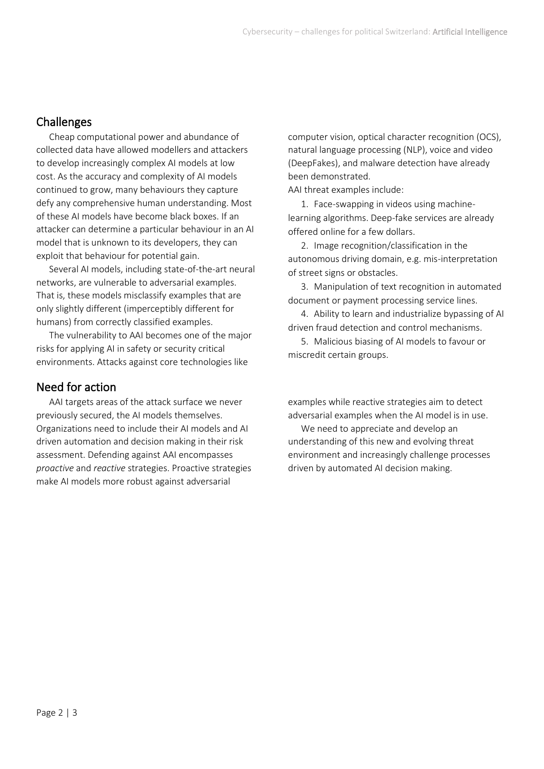## **Challenges**

Cheap computational power and abundance of collected data have allowed modellers and attackers to develop increasingly complex AI models at low cost. As the accuracy and complexity of AI models continued to grow, many behaviours they capture defy any comprehensive human understanding. Most of these AI models have become black boxes. If an attacker can determine a particular behaviour in an AI model that is unknown to its developers, they can exploit that behaviour for potential gain.

Several AI models, including state-of-the-art neural networks, are vulnerable to adversarial examples. That is, these models misclassify examples that are only slightly different (imperceptibly different for humans) from correctly classified examples.

The vulnerability to AAI becomes one of the major risks for applying AI in safety or security critical environments. Attacks against core technologies like

#### Need for action

AAI targets areas of the attack surface we never previously secured, the AI models themselves. Organizations need to include their AI models and AI driven automation and decision making in their risk assessment. Defending against AAI encompasses *proactive* and *reactive* strategies. Proactive strategies make AI models more robust against adversarial

computer vision, optical character recognition (OCS), natural language processing (NLP), voice and video (DeepFakes), and malware detection have already been demonstrated.

AAI threat examples include:

1. Face-swapping in videos using machinelearning algorithms. Deep-fake services are already offered online for a few dollars.

2. Image recognition/classification in the autonomous driving domain, e.g. mis-interpretation of street signs or obstacles.

3. Manipulation of text recognition in automated document or payment processing service lines.

4. Ability to learn and industrialize bypassing of AI driven fraud detection and control mechanisms.

5. Malicious biasing of AI models to favour or miscredit certain groups.

examples while reactive strategies aim to detect adversarial examples when the AI model is in use.

We need to appreciate and develop an understanding of this new and evolving threat environment and increasingly challenge processes driven by automated AI decision making.